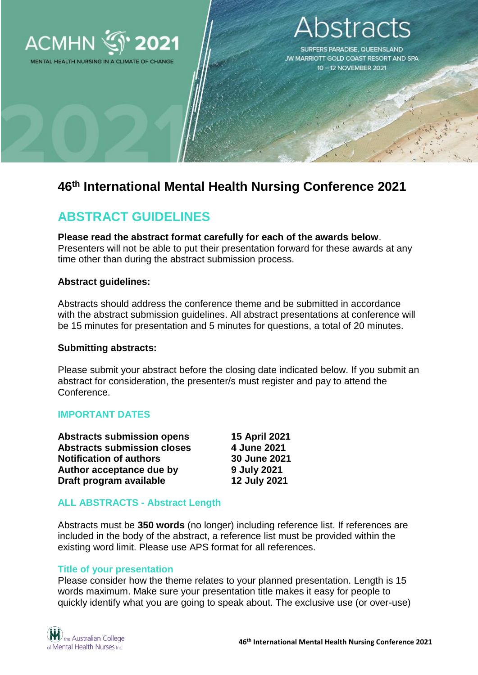

MENTAL HEALTH NURSING IN A CLIMATE OF CHANGE

# stracts

SURFERS PARADISE, QUEENSLAND JW MARRIOTT GOLD COAST RESORT AND SPA 10-12 NOVEMBER 2021

# **46th International Mental Health Nursing Conference 2021**

# **ABSTRACT GUIDELINES**

**Please read the abstract format carefully for each of the awards below**. Presenters will not be able to put their presentation forward for these awards at any time other than during the abstract submission process.

# **Abstract guidelines:**

Abstracts should address the conference theme and be submitted in accordance with the abstract submission guidelines. All abstract presentations at conference will be 15 minutes for presentation and 5 minutes for questions, a total of 20 minutes.

#### **Submitting abstracts:**

Please submit your abstract before the closing date indicated below. If you submit an abstract for consideration, the presenter/s must register and pay to attend the Conference.

# **IMPORTANT DATES**

| <b>Abstracts submission opens</b>  | 15 April 2021 |
|------------------------------------|---------------|
| <b>Abstracts submission closes</b> | 4 June 2021   |
| <b>Notification of authors</b>     | 30 June 2021  |
| Author acceptance due by           | 9 July 2021   |
| Draft program available            | 12 July 2021  |

# **ALL ABSTRACTS - Abstract Length**

Abstracts must be **350 words** (no longer) including reference list. If references are included in the body of the abstract, a reference list must be provided within the existing word limit. Please use APS format for all references.

# **Title of your presentation**

Please consider how the theme relates to your planned presentation. Length is 15 words maximum. Make sure your presentation title makes it easy for people to quickly identify what you are going to speak about. The exclusive use (or over-use)

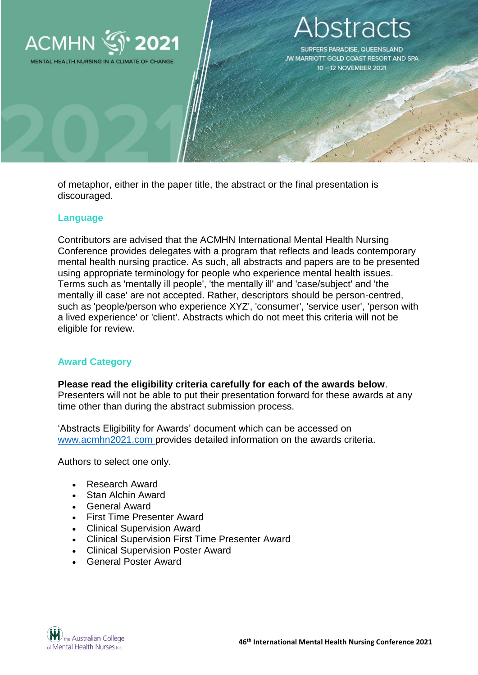

# stracts

SURFERS PARADISE, QUEENSLAND JW MARRIOTT GOLD COAST RESORT AND SPA 10-12 NOVEMBER 2021

of metaphor, either in the paper title, the abstract or the final presentation is discouraged.

### **Language**

Contributors are advised that the ACMHN International Mental Health Nursing Conference provides delegates with a program that reflects and leads contemporary mental health nursing practice. As such, all abstracts and papers are to be presented using appropriate terminology for people who experience mental health issues. Terms such as 'mentally ill people', 'the mentally ill' and 'case/subject' and 'the mentally ill case' are not accepted. Rather, descriptors should be person-centred, such as 'people/person who experience XYZ', 'consumer', 'service user', 'person with a lived experience' or 'client'. Abstracts which do not meet this criteria will not be eligible for review.

# **Award Category**

**Please read the eligibility criteria carefully for each of the awards below**. Presenters will not be able to put their presentation forward for these awards at any time other than during the abstract submission process.

'Abstracts Eligibility for Awards' document which can be accessed on [www.acmhn2021.com](http://www.acmhn2021.com/) provides detailed information on the awards criteria.

Authors to select one only.

- Research Award
- Stan Alchin Award
- General Award
- First Time Presenter Award
- Clinical Supervision Award
- Clinical Supervision First Time Presenter Award
- Clinical Supervision Poster Award
- General Poster Award

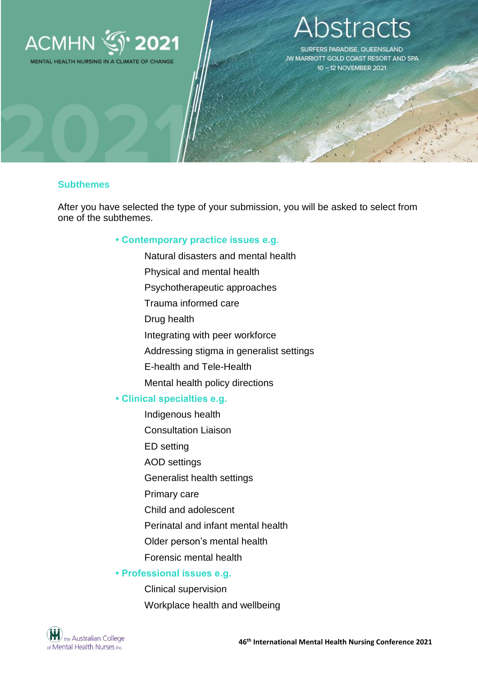

MENTAL HEALTH NURSING IN A CLIMATE OF CHANGE

# stracts

SURFERS PARADISE, QUEENSLAND JW MARRIOTT GOLD COAST RESORT AND SPA 10-12 NOVEMBER 2021

#### **Subthemes**

After you have selected the type of your submission, you will be asked to select from one of the subthemes.

#### **• Contemporary practice issues e.g.**

Natural disasters and mental health Physical and mental health Psychotherapeutic approaches Trauma informed care Drug health Integrating with peer workforce Addressing stigma in generalist settings E-health and Tele-Health Mental health policy directions **• Clinical specialties e.g.** Indigenous health Consultation Liaison ED setting AOD settings Generalist health settings Primary care Child and adolescent Perinatal and infant mental health

Older person's mental health

Forensic mental health

#### **• Professional issues e.g.**

Clinical supervision Workplace health and wellbeing

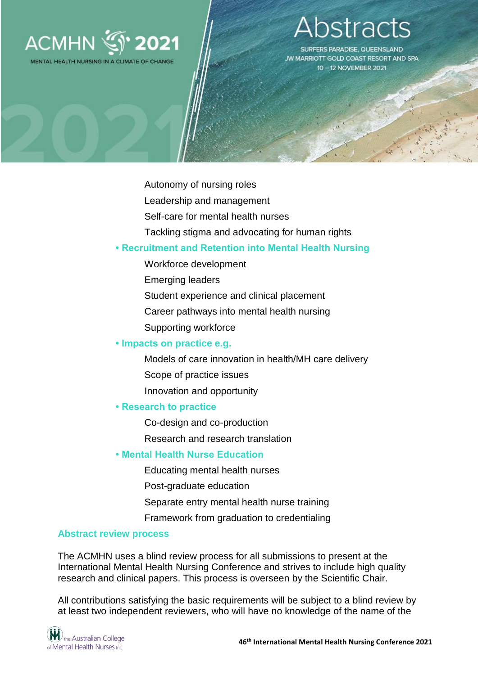

MENTAL HEALTH NURSING IN A CLIMATE OF CHANGE

# stracts

SURFERS PARADISE, QUEENSLAND JW MARRIOTT GOLD COAST RESORT AND SPA 10-12 NOVEMBER 2021

Autonomy of nursing roles

- Leadership and management
- Self-care for mental health nurses
- Tackling stigma and advocating for human rights

### **• Recruitment and Retention into Mental Health Nursing**

- Workforce development
- Emerging leaders
- Student experience and clinical placement
- Career pathways into mental health nursing
- Supporting workforce

#### **• Impacts on practice e.g.**

Models of care innovation in health/MH care delivery Scope of practice issues Innovation and opportunity

#### **• Research to practice**

Co-design and co-production

Research and research translation

# **• Mental Health Nurse Education**

Educating mental health nurses

Post-graduate education

Separate entry mental health nurse training

Framework from graduation to credentialing

### **Abstract review process**

The ACMHN uses a blind review process for all submissions to present at the International Mental Health Nursing Conference and strives to include high quality research and clinical papers. This process is overseen by the Scientific Chair.

All contributions satisfying the basic requirements will be subject to a blind review by at least two independent reviewers, who will have no knowledge of the name of the

 $\left(\bigvee_{\text{the Australian College}}\right)$ of Mental Health Nurses Inc.